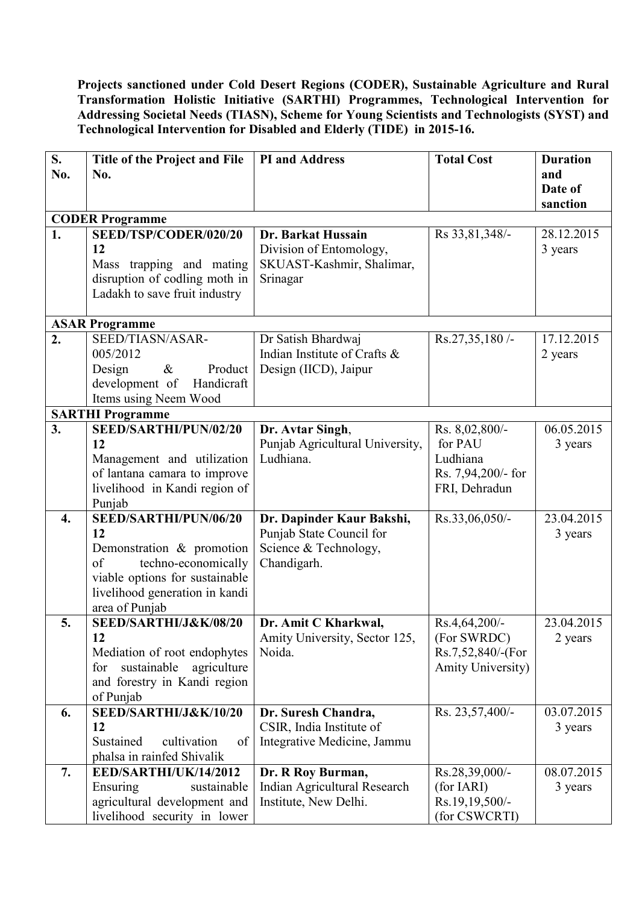**Projects sanctioned under Cold Desert Regions (CODER), Sustainable Agriculture and Rural Transformation Holistic Initiative (SARTHI) Programmes, Technological Intervention for Addressing Societal Needs (TIASN), Scheme for Young Scientists and Technologists (SYST) and Technological Intervention for Disabled and Elderly (TIDE) in 2015-16.** 

| S.               | Title of the Project and File                         | <b>PI</b> and Address           | <b>Total Cost</b>        | <b>Duration</b> |
|------------------|-------------------------------------------------------|---------------------------------|--------------------------|-----------------|
| No.              | No.                                                   |                                 |                          | and             |
|                  |                                                       |                                 |                          | Date of         |
|                  |                                                       |                                 |                          | sanction        |
|                  | <b>CODER Programme</b>                                |                                 |                          |                 |
| 1.               | SEED/TSP/CODER/020/20                                 | Dr. Barkat Hussain              | Rs 33,81,348/-           | 28.12.2015      |
|                  | 12                                                    | Division of Entomology,         |                          | 3 years         |
|                  | Mass trapping and mating                              | SKUAST-Kashmir, Shalimar,       |                          |                 |
|                  | disruption of codling moth in                         | Srinagar                        |                          |                 |
|                  | Ladakh to save fruit industry                         |                                 |                          |                 |
|                  |                                                       |                                 |                          |                 |
|                  | <b>ASAR Programme</b>                                 |                                 |                          |                 |
| 2.               | SEED/TIASN/ASAR-                                      | Dr Satish Bhardwaj              | Rs.27,35,180/            | 17.12.2015      |
|                  | 005/2012                                              | Indian Institute of Crafts &    |                          | 2 years         |
|                  | Design<br>$\&$<br>Product                             | Design (IICD), Jaipur           |                          |                 |
|                  | development of<br>Handicraft                          |                                 |                          |                 |
|                  | Items using Neem Wood                                 |                                 |                          |                 |
|                  | <b>SARTHI Programme</b>                               |                                 |                          |                 |
| 3.               | SEED/SARTHI/PUN/02/20                                 | Dr. Avtar Singh,                | Rs. 8,02,800/-           | 06.05.2015      |
|                  | 12                                                    | Punjab Agricultural University, | for PAU                  | 3 years         |
|                  | Management and utilization                            | Ludhiana.                       | Ludhiana                 |                 |
|                  | of lantana camara to improve                          |                                 | Rs. 7,94,200/- for       |                 |
|                  | livelihood in Kandi region of                         |                                 | FRI, Dehradun            |                 |
|                  | Punjab                                                |                                 |                          |                 |
| $\overline{4}$ . | SEED/SARTHI/PUN/06/20                                 | Dr. Dapinder Kaur Bakshi,       | Rs.33,06,050/-           | 23.04.2015      |
|                  | 12                                                    | Punjab State Council for        |                          | 3 years         |
|                  | Demonstration & promotion<br>of                       | Science & Technology,           |                          |                 |
|                  | techno-economically<br>viable options for sustainable | Chandigarh.                     |                          |                 |
|                  | livelihood generation in kandi                        |                                 |                          |                 |
|                  | area of Punjab                                        |                                 |                          |                 |
| 5.               | SEED/SARTHI/J&K/08/20                                 | Dr. Amit C Kharkwal,            | Rs.4,64,200/-            | 23.04.2015      |
|                  | 12                                                    | Amity University, Sector 125,   | (For SWRDC)              | 2 years         |
|                  | Mediation of root endophytes                          | Noida.                          | Rs.7,52,840/-(For        |                 |
|                  | sustainable<br>agriculture<br>for                     |                                 | <b>Amity University)</b> |                 |
|                  | and forestry in Kandi region                          |                                 |                          |                 |
|                  | of Punjab                                             |                                 |                          |                 |
| 6.               | SEED/SARTHI/J&K/10/20                                 | Dr. Suresh Chandra,             | Rs. 23,57,400/-          | 03.07.2015      |
|                  | 12                                                    | CSIR, India Institute of        |                          | 3 years         |
|                  | Sustained<br>cultivation<br>of                        | Integrative Medicine, Jammu     |                          |                 |
|                  | phalsa in rainfed Shivalik                            |                                 |                          |                 |
| 7.               | EED/SARTHI/UK/14/2012                                 | Dr. R Roy Burman,               | Rs.28,39,000/-           | 08.07.2015      |
|                  | Ensuring<br>sustainable                               | Indian Agricultural Research    | (for IARI)               | 3 years         |
|                  | agricultural development and                          | Institute, New Delhi.           | Rs.19,19,500/-           |                 |
|                  | livelihood security in lower                          |                                 | (for CSWCRTI)            |                 |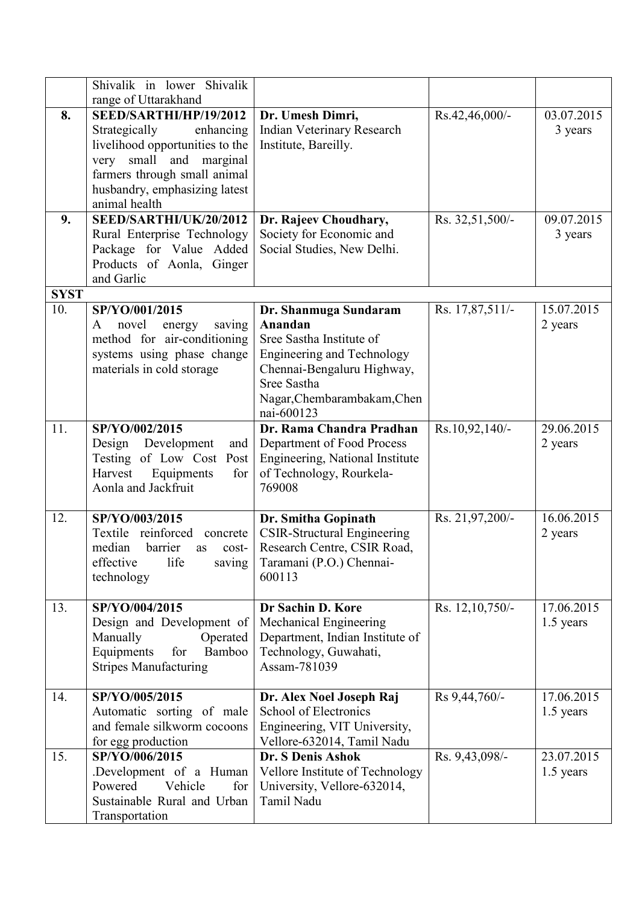|             | Shivalik in lower Shivalik<br>range of Uttarakhand                                                                                                                                                   |                                                                                                                                                                                             |                 |                         |
|-------------|------------------------------------------------------------------------------------------------------------------------------------------------------------------------------------------------------|---------------------------------------------------------------------------------------------------------------------------------------------------------------------------------------------|-----------------|-------------------------|
| 8.          | SEED/SARTHI/HP/19/2012<br>Strategically<br>enhancing<br>livelihood opportunities to the<br>very small and marginal<br>farmers through small animal<br>husbandry, emphasizing latest<br>animal health | Dr. Umesh Dimri,<br>Indian Veterinary Research<br>Institute, Bareilly.                                                                                                                      | Rs.42,46,000/-  | 03.07.2015<br>3 years   |
| 9.          | SEED/SARTHI/UK/20/2012<br>Rural Enterprise Technology<br>Package for Value Added<br>Products of Aonla, Ginger<br>and Garlic                                                                          | Dr. Rajeev Choudhary,<br>Society for Economic and<br>Social Studies, New Delhi.                                                                                                             | Rs. 32,51,500/- | 09.07.2015<br>3 years   |
| <b>SYST</b> |                                                                                                                                                                                                      |                                                                                                                                                                                             |                 |                         |
| 10.         | SP/YO/001/2015<br>novel<br>energy<br>saving<br>A<br>method for air-conditioning<br>systems using phase change<br>materials in cold storage                                                           | Dr. Shanmuga Sundaram<br>Anandan<br>Sree Sastha Institute of<br><b>Engineering and Technology</b><br>Chennai-Bengaluru Highway,<br>Sree Sastha<br>Nagar, Chembarambakam, Chen<br>nai-600123 | Rs. 17,87,511/- | 15.07.2015<br>2 years   |
| 11.         | SP/YO/002/2015<br>Design Development<br>and<br>Testing of Low Cost Post<br>Harvest<br>Equipments<br>for<br>Aonla and Jackfruit                                                                       | Dr. Rama Chandra Pradhan<br>Department of Food Process<br>Engineering, National Institute<br>of Technology, Rourkela-<br>769008                                                             | Rs.10,92,140/-  | 29.06.2015<br>2 years   |
| 12.         | SP/YO/003/2015<br>Textile reinforced<br>concrete<br>median<br>barrier<br>cost-<br>as<br>effective<br>life<br>saving<br>technology                                                                    | Dr. Smitha Gopinath<br><b>CSIR-Structural Engineering</b><br>Research Centre, CSIR Road,<br>Taramani (P.O.) Chennai-<br>600113                                                              | Rs. 21,97,200/- | 16.06.2015<br>2 years   |
| 13.         | SP/YO/004/2015<br>Design and Development of<br>Manually<br>Operated<br>Equipments<br>for<br>Bamboo<br><b>Stripes Manufacturing</b>                                                                   | Dr Sachin D. Kore<br>Mechanical Engineering<br>Department, Indian Institute of<br>Technology, Guwahati,<br>Assam-781039                                                                     | Rs. 12,10,750/- | 17.06.2015<br>1.5 years |
| 14.         | SP/YO/005/2015<br>Automatic sorting of male<br>and female silkworm cocoons<br>for egg production                                                                                                     | Dr. Alex Noel Joseph Raj<br><b>School of Electronics</b><br>Engineering, VIT University,<br>Vellore-632014, Tamil Nadu                                                                      | Rs 9,44,760/-   | 17.06.2015<br>1.5 years |
| 15.         | SP/YO/006/2015<br>Development of a Human<br>Vehicle<br>Powered<br>for<br>Sustainable Rural and Urban<br>Transportation                                                                               | Dr. S Denis Ashok<br>Vellore Institute of Technology<br>University, Vellore-632014,<br>Tamil Nadu                                                                                           | Rs. 9,43,098/-  | 23.07.2015<br>1.5 years |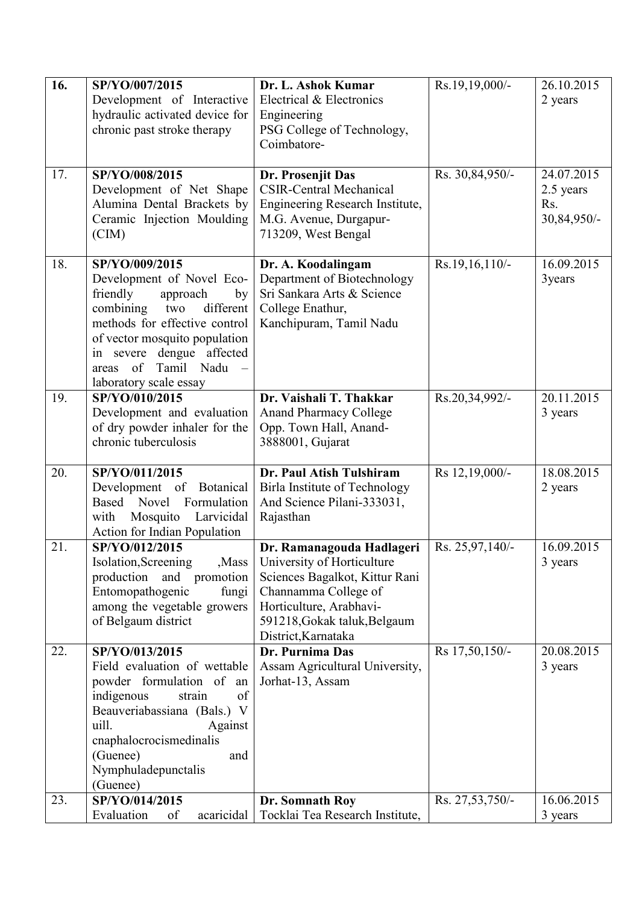| 16. | SP/YO/007/2015<br>Development of Interactive<br>hydraulic activated device for<br>chronic past stroke therapy                                                                                                                                                    | Dr. L. Ashok Kumar<br>Electrical & Electronics<br>Engineering<br>PSG College of Technology,                                                                                                         | Rs.19,19,000/-    | 26.10.2015<br>2 years                         |
|-----|------------------------------------------------------------------------------------------------------------------------------------------------------------------------------------------------------------------------------------------------------------------|-----------------------------------------------------------------------------------------------------------------------------------------------------------------------------------------------------|-------------------|-----------------------------------------------|
|     |                                                                                                                                                                                                                                                                  | Coimbatore-                                                                                                                                                                                         |                   |                                               |
| 17. | SP/YO/008/2015<br>Development of Net Shape<br>Alumina Dental Brackets by<br>Ceramic Injection Moulding<br>(CIM)                                                                                                                                                  | Dr. Prosenjit Das<br><b>CSIR-Central Mechanical</b><br>Engineering Research Institute,<br>M.G. Avenue, Durgapur-<br>713209, West Bengal                                                             | Rs. 30,84,950/-   | 24.07.2015<br>2.5 years<br>Rs.<br>30,84,950/- |
| 18. | SP/YO/009/2015<br>Development of Novel Eco-<br>friendly<br>approach<br>by<br>different<br>combining<br>two<br>methods for effective control<br>of vector mosquito population<br>in severe dengue affected<br>Tamil Nadu<br>of<br>areas<br>laboratory scale essay | Dr. A. Koodalingam<br>Department of Biotechnology<br>Sri Sankara Arts & Science<br>College Enathur,<br>Kanchipuram, Tamil Nadu                                                                      | $Rs.19,16,110/$ - | 16.09.2015<br>3years                          |
| 19. | SP/YO/010/2015<br>Development and evaluation<br>of dry powder inhaler for the<br>chronic tuberculosis                                                                                                                                                            | Dr. Vaishali T. Thakkar<br><b>Anand Pharmacy College</b><br>Opp. Town Hall, Anand-<br>3888001, Gujarat                                                                                              | Rs.20,34,992/-    | 20.11.2015<br>3 years                         |
| 20. | SP/YO/011/2015<br>Development of Botanical<br>Novel<br>Formulation<br>Based<br>Larvicidal<br>Mosquito<br>with<br><b>Action for Indian Population</b>                                                                                                             | Dr. Paul Atish Tulshiram<br>Birla Institute of Technology<br>And Science Pilani-333031,<br>Rajasthan                                                                                                | Rs 12,19,000/-    | 18.08.2015<br>2 years                         |
| 21. | SP/YO/012/2015<br>Isolation, Screening<br>,Mass<br>production and promotion<br>Entomopathogenic<br>fungi<br>among the vegetable growers<br>of Belgaum district                                                                                                   | Dr. Ramanagouda Hadlageri<br>University of Horticulture<br>Sciences Bagalkot, Kittur Rani<br>Channamma College of<br>Horticulture, Arabhavi-<br>591218, Gokak taluk, Belgaum<br>District, Karnataka | Rs. 25,97,140/-   | 16.09.2015<br>3 years                         |
| 22. | SP/YO/013/2015<br>Field evaluation of wettable<br>powder formulation of<br>an<br>indigenous<br>strain<br>of<br>Beauveriabassiana (Bals.)<br>V<br>uill.<br>Against<br>cnaphalocrocismedinalis<br>(Guenee)<br>and<br>Nymphuladepunctalis<br>(Guenee)               | Dr. Purnima Das<br>Assam Agricultural University,<br>Jorhat-13, Assam                                                                                                                               | Rs 17,50,150/-    | 20.08.2015<br>3 years                         |
| 23. | SP/YO/014/2015<br>Evaluation<br>acaricidal<br>of                                                                                                                                                                                                                 | Dr. Somnath Roy<br>Tocklai Tea Research Institute,                                                                                                                                                  | Rs. 27,53,750/-   | 16.06.2015<br>3 years                         |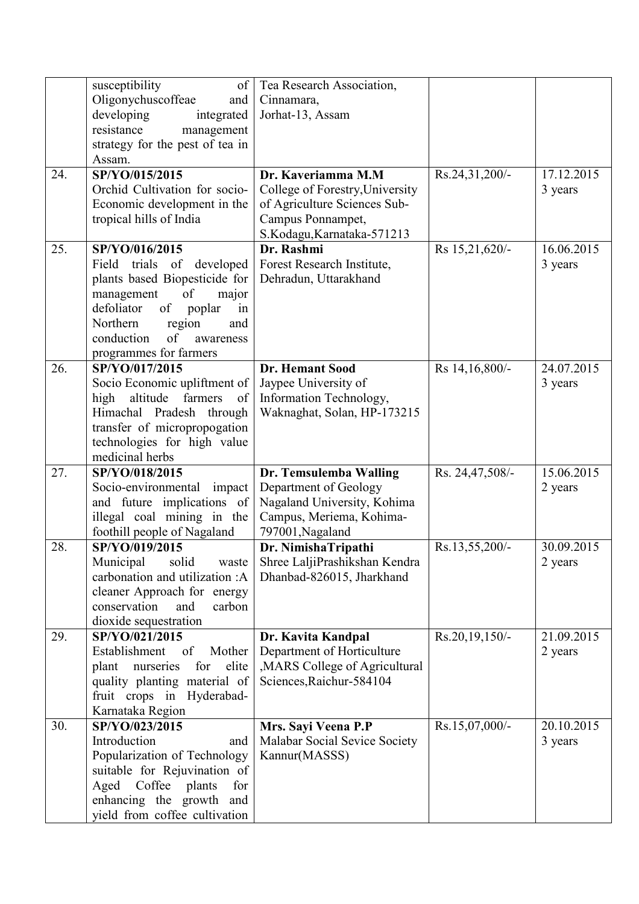| Oligonychuscoffeae<br>Cinnamara,<br>and<br>developing<br>Jorhat-13, Assam<br>integrated<br>resistance<br>management<br>strategy for the pest of tea in<br>Assam.<br>24.<br>SP/YO/015/2015<br>Rs.24,31,200/-<br>17.12.2015<br>Dr. Kaveriamma M.M<br>Orchid Cultivation for socio-<br>College of Forestry, University<br>3 years<br>Economic development in the<br>of Agriculture Sciences Sub-<br>tropical hills of India<br>Campus Ponnampet,<br>S.Kodagu, Karnataka-571213<br>SP/YO/016/2015<br>Dr. Rashmi<br>25.<br>Rs 15,21,620/-<br>16.06.2015<br>Forest Research Institute,<br>trials<br>of developed<br>Field<br>3 years<br>plants based Biopesticide for<br>Dehradun, Uttarakhand<br>of<br>management<br>major<br>defoliator<br>of<br>poplar<br>in<br>Northern<br>region<br>and<br>of<br>conduction<br>awareness<br>programmes for farmers<br>26.<br>SP/YO/017/2015<br>Rs 14,16,800/-<br>24.07.2015<br><b>Dr. Hemant Sood</b><br>Jaypee University of<br>Socio Economic upliftment of<br>3 years<br>farmers<br>Information Technology,<br>high<br>altitude<br>of<br>Himachal Pradesh through<br>Waknaghat, Solan, HP-173215<br>transfer of micropropogation<br>technologies for high value<br>medicinal herbs<br>SP/YO/018/2015<br>15.06.2015<br>27.<br>Dr. Temsulemba Walling<br>Rs. 24,47,508/-<br>impact<br>Department of Geology<br>Socio-environmental<br>2 years<br>and future implications of<br>Nagaland University, Kohima<br>illegal coal mining in the<br>Campus, Meriema, Kohima-<br>foothill people of Nagaland<br>797001, Nagaland<br>28.<br>SP/YO/019/2015<br>30.09.2015<br>Dr. NimishaTripathi<br>Rs.13,55,200/-<br>Municipal<br>solid<br>Shree LaljiPrashikshan Kendra<br>2 years<br>waste<br>carbonation and utilization :A<br>Dhanbad-826015, Jharkhand<br>cleaner Approach for energy<br>conservation<br>carbon<br>and<br>dioxide sequestration<br>Rs.20,19,150/-<br>21.09.2015<br>29.<br>SP/YO/021/2015<br>Dr. Kavita Kandpal<br>Establishment<br>Mother<br>Department of Horticulture<br>of<br>2 years<br>, MARS College of Agricultural<br>elite<br>plant<br>for<br>nurseries<br>Sciences, Raichur-584104<br>quality planting material of<br>fruit crops in Hyderabad-<br>Karnataka Region<br>30.<br>SP/YO/023/2015<br>Rs.15,07,000/-<br>20.10.2015<br>Mrs. Sayi Veena P.P<br>Introduction<br>Malabar Social Sevice Society<br>3 years<br>and<br>Popularization of Technology<br>Kannur(MASSS)<br>suitable for Rejuvination of<br>Aged Coffee plants<br>for<br>enhancing the growth and<br>yield from coffee cultivation | susceptibility | of   Tea Research Association, |  |
|--------------------------------------------------------------------------------------------------------------------------------------------------------------------------------------------------------------------------------------------------------------------------------------------------------------------------------------------------------------------------------------------------------------------------------------------------------------------------------------------------------------------------------------------------------------------------------------------------------------------------------------------------------------------------------------------------------------------------------------------------------------------------------------------------------------------------------------------------------------------------------------------------------------------------------------------------------------------------------------------------------------------------------------------------------------------------------------------------------------------------------------------------------------------------------------------------------------------------------------------------------------------------------------------------------------------------------------------------------------------------------------------------------------------------------------------------------------------------------------------------------------------------------------------------------------------------------------------------------------------------------------------------------------------------------------------------------------------------------------------------------------------------------------------------------------------------------------------------------------------------------------------------------------------------------------------------------------------------------------------------------------------------------------------------------------------------------------------------------------------------------------------------------------------------------------------------------------------------------------------------------------------------------------------------------------------------------------------------------------------------------------------------------------------------------------------------------------------------------------------------------------------------------------------------------|----------------|--------------------------------|--|
|                                                                                                                                                                                                                                                                                                                                                                                                                                                                                                                                                                                                                                                                                                                                                                                                                                                                                                                                                                                                                                                                                                                                                                                                                                                                                                                                                                                                                                                                                                                                                                                                                                                                                                                                                                                                                                                                                                                                                                                                                                                                                                                                                                                                                                                                                                                                                                                                                                                                                                                                                        |                |                                |  |
|                                                                                                                                                                                                                                                                                                                                                                                                                                                                                                                                                                                                                                                                                                                                                                                                                                                                                                                                                                                                                                                                                                                                                                                                                                                                                                                                                                                                                                                                                                                                                                                                                                                                                                                                                                                                                                                                                                                                                                                                                                                                                                                                                                                                                                                                                                                                                                                                                                                                                                                                                        |                |                                |  |
|                                                                                                                                                                                                                                                                                                                                                                                                                                                                                                                                                                                                                                                                                                                                                                                                                                                                                                                                                                                                                                                                                                                                                                                                                                                                                                                                                                                                                                                                                                                                                                                                                                                                                                                                                                                                                                                                                                                                                                                                                                                                                                                                                                                                                                                                                                                                                                                                                                                                                                                                                        |                |                                |  |
|                                                                                                                                                                                                                                                                                                                                                                                                                                                                                                                                                                                                                                                                                                                                                                                                                                                                                                                                                                                                                                                                                                                                                                                                                                                                                                                                                                                                                                                                                                                                                                                                                                                                                                                                                                                                                                                                                                                                                                                                                                                                                                                                                                                                                                                                                                                                                                                                                                                                                                                                                        |                |                                |  |
|                                                                                                                                                                                                                                                                                                                                                                                                                                                                                                                                                                                                                                                                                                                                                                                                                                                                                                                                                                                                                                                                                                                                                                                                                                                                                                                                                                                                                                                                                                                                                                                                                                                                                                                                                                                                                                                                                                                                                                                                                                                                                                                                                                                                                                                                                                                                                                                                                                                                                                                                                        |                |                                |  |
|                                                                                                                                                                                                                                                                                                                                                                                                                                                                                                                                                                                                                                                                                                                                                                                                                                                                                                                                                                                                                                                                                                                                                                                                                                                                                                                                                                                                                                                                                                                                                                                                                                                                                                                                                                                                                                                                                                                                                                                                                                                                                                                                                                                                                                                                                                                                                                                                                                                                                                                                                        |                |                                |  |
|                                                                                                                                                                                                                                                                                                                                                                                                                                                                                                                                                                                                                                                                                                                                                                                                                                                                                                                                                                                                                                                                                                                                                                                                                                                                                                                                                                                                                                                                                                                                                                                                                                                                                                                                                                                                                                                                                                                                                                                                                                                                                                                                                                                                                                                                                                                                                                                                                                                                                                                                                        |                |                                |  |
|                                                                                                                                                                                                                                                                                                                                                                                                                                                                                                                                                                                                                                                                                                                                                                                                                                                                                                                                                                                                                                                                                                                                                                                                                                                                                                                                                                                                                                                                                                                                                                                                                                                                                                                                                                                                                                                                                                                                                                                                                                                                                                                                                                                                                                                                                                                                                                                                                                                                                                                                                        |                |                                |  |
|                                                                                                                                                                                                                                                                                                                                                                                                                                                                                                                                                                                                                                                                                                                                                                                                                                                                                                                                                                                                                                                                                                                                                                                                                                                                                                                                                                                                                                                                                                                                                                                                                                                                                                                                                                                                                                                                                                                                                                                                                                                                                                                                                                                                                                                                                                                                                                                                                                                                                                                                                        |                |                                |  |
|                                                                                                                                                                                                                                                                                                                                                                                                                                                                                                                                                                                                                                                                                                                                                                                                                                                                                                                                                                                                                                                                                                                                                                                                                                                                                                                                                                                                                                                                                                                                                                                                                                                                                                                                                                                                                                                                                                                                                                                                                                                                                                                                                                                                                                                                                                                                                                                                                                                                                                                                                        |                |                                |  |
|                                                                                                                                                                                                                                                                                                                                                                                                                                                                                                                                                                                                                                                                                                                                                                                                                                                                                                                                                                                                                                                                                                                                                                                                                                                                                                                                                                                                                                                                                                                                                                                                                                                                                                                                                                                                                                                                                                                                                                                                                                                                                                                                                                                                                                                                                                                                                                                                                                                                                                                                                        |                |                                |  |
|                                                                                                                                                                                                                                                                                                                                                                                                                                                                                                                                                                                                                                                                                                                                                                                                                                                                                                                                                                                                                                                                                                                                                                                                                                                                                                                                                                                                                                                                                                                                                                                                                                                                                                                                                                                                                                                                                                                                                                                                                                                                                                                                                                                                                                                                                                                                                                                                                                                                                                                                                        |                |                                |  |
|                                                                                                                                                                                                                                                                                                                                                                                                                                                                                                                                                                                                                                                                                                                                                                                                                                                                                                                                                                                                                                                                                                                                                                                                                                                                                                                                                                                                                                                                                                                                                                                                                                                                                                                                                                                                                                                                                                                                                                                                                                                                                                                                                                                                                                                                                                                                                                                                                                                                                                                                                        |                |                                |  |
|                                                                                                                                                                                                                                                                                                                                                                                                                                                                                                                                                                                                                                                                                                                                                                                                                                                                                                                                                                                                                                                                                                                                                                                                                                                                                                                                                                                                                                                                                                                                                                                                                                                                                                                                                                                                                                                                                                                                                                                                                                                                                                                                                                                                                                                                                                                                                                                                                                                                                                                                                        |                |                                |  |
|                                                                                                                                                                                                                                                                                                                                                                                                                                                                                                                                                                                                                                                                                                                                                                                                                                                                                                                                                                                                                                                                                                                                                                                                                                                                                                                                                                                                                                                                                                                                                                                                                                                                                                                                                                                                                                                                                                                                                                                                                                                                                                                                                                                                                                                                                                                                                                                                                                                                                                                                                        |                |                                |  |
|                                                                                                                                                                                                                                                                                                                                                                                                                                                                                                                                                                                                                                                                                                                                                                                                                                                                                                                                                                                                                                                                                                                                                                                                                                                                                                                                                                                                                                                                                                                                                                                                                                                                                                                                                                                                                                                                                                                                                                                                                                                                                                                                                                                                                                                                                                                                                                                                                                                                                                                                                        |                |                                |  |
|                                                                                                                                                                                                                                                                                                                                                                                                                                                                                                                                                                                                                                                                                                                                                                                                                                                                                                                                                                                                                                                                                                                                                                                                                                                                                                                                                                                                                                                                                                                                                                                                                                                                                                                                                                                                                                                                                                                                                                                                                                                                                                                                                                                                                                                                                                                                                                                                                                                                                                                                                        |                |                                |  |
|                                                                                                                                                                                                                                                                                                                                                                                                                                                                                                                                                                                                                                                                                                                                                                                                                                                                                                                                                                                                                                                                                                                                                                                                                                                                                                                                                                                                                                                                                                                                                                                                                                                                                                                                                                                                                                                                                                                                                                                                                                                                                                                                                                                                                                                                                                                                                                                                                                                                                                                                                        |                |                                |  |
|                                                                                                                                                                                                                                                                                                                                                                                                                                                                                                                                                                                                                                                                                                                                                                                                                                                                                                                                                                                                                                                                                                                                                                                                                                                                                                                                                                                                                                                                                                                                                                                                                                                                                                                                                                                                                                                                                                                                                                                                                                                                                                                                                                                                                                                                                                                                                                                                                                                                                                                                                        |                |                                |  |
|                                                                                                                                                                                                                                                                                                                                                                                                                                                                                                                                                                                                                                                                                                                                                                                                                                                                                                                                                                                                                                                                                                                                                                                                                                                                                                                                                                                                                                                                                                                                                                                                                                                                                                                                                                                                                                                                                                                                                                                                                                                                                                                                                                                                                                                                                                                                                                                                                                                                                                                                                        |                |                                |  |
|                                                                                                                                                                                                                                                                                                                                                                                                                                                                                                                                                                                                                                                                                                                                                                                                                                                                                                                                                                                                                                                                                                                                                                                                                                                                                                                                                                                                                                                                                                                                                                                                                                                                                                                                                                                                                                                                                                                                                                                                                                                                                                                                                                                                                                                                                                                                                                                                                                                                                                                                                        |                |                                |  |
|                                                                                                                                                                                                                                                                                                                                                                                                                                                                                                                                                                                                                                                                                                                                                                                                                                                                                                                                                                                                                                                                                                                                                                                                                                                                                                                                                                                                                                                                                                                                                                                                                                                                                                                                                                                                                                                                                                                                                                                                                                                                                                                                                                                                                                                                                                                                                                                                                                                                                                                                                        |                |                                |  |
|                                                                                                                                                                                                                                                                                                                                                                                                                                                                                                                                                                                                                                                                                                                                                                                                                                                                                                                                                                                                                                                                                                                                                                                                                                                                                                                                                                                                                                                                                                                                                                                                                                                                                                                                                                                                                                                                                                                                                                                                                                                                                                                                                                                                                                                                                                                                                                                                                                                                                                                                                        |                |                                |  |
|                                                                                                                                                                                                                                                                                                                                                                                                                                                                                                                                                                                                                                                                                                                                                                                                                                                                                                                                                                                                                                                                                                                                                                                                                                                                                                                                                                                                                                                                                                                                                                                                                                                                                                                                                                                                                                                                                                                                                                                                                                                                                                                                                                                                                                                                                                                                                                                                                                                                                                                                                        |                |                                |  |
|                                                                                                                                                                                                                                                                                                                                                                                                                                                                                                                                                                                                                                                                                                                                                                                                                                                                                                                                                                                                                                                                                                                                                                                                                                                                                                                                                                                                                                                                                                                                                                                                                                                                                                                                                                                                                                                                                                                                                                                                                                                                                                                                                                                                                                                                                                                                                                                                                                                                                                                                                        |                |                                |  |
|                                                                                                                                                                                                                                                                                                                                                                                                                                                                                                                                                                                                                                                                                                                                                                                                                                                                                                                                                                                                                                                                                                                                                                                                                                                                                                                                                                                                                                                                                                                                                                                                                                                                                                                                                                                                                                                                                                                                                                                                                                                                                                                                                                                                                                                                                                                                                                                                                                                                                                                                                        |                |                                |  |
|                                                                                                                                                                                                                                                                                                                                                                                                                                                                                                                                                                                                                                                                                                                                                                                                                                                                                                                                                                                                                                                                                                                                                                                                                                                                                                                                                                                                                                                                                                                                                                                                                                                                                                                                                                                                                                                                                                                                                                                                                                                                                                                                                                                                                                                                                                                                                                                                                                                                                                                                                        |                |                                |  |
|                                                                                                                                                                                                                                                                                                                                                                                                                                                                                                                                                                                                                                                                                                                                                                                                                                                                                                                                                                                                                                                                                                                                                                                                                                                                                                                                                                                                                                                                                                                                                                                                                                                                                                                                                                                                                                                                                                                                                                                                                                                                                                                                                                                                                                                                                                                                                                                                                                                                                                                                                        |                |                                |  |
|                                                                                                                                                                                                                                                                                                                                                                                                                                                                                                                                                                                                                                                                                                                                                                                                                                                                                                                                                                                                                                                                                                                                                                                                                                                                                                                                                                                                                                                                                                                                                                                                                                                                                                                                                                                                                                                                                                                                                                                                                                                                                                                                                                                                                                                                                                                                                                                                                                                                                                                                                        |                |                                |  |
|                                                                                                                                                                                                                                                                                                                                                                                                                                                                                                                                                                                                                                                                                                                                                                                                                                                                                                                                                                                                                                                                                                                                                                                                                                                                                                                                                                                                                                                                                                                                                                                                                                                                                                                                                                                                                                                                                                                                                                                                                                                                                                                                                                                                                                                                                                                                                                                                                                                                                                                                                        |                |                                |  |
|                                                                                                                                                                                                                                                                                                                                                                                                                                                                                                                                                                                                                                                                                                                                                                                                                                                                                                                                                                                                                                                                                                                                                                                                                                                                                                                                                                                                                                                                                                                                                                                                                                                                                                                                                                                                                                                                                                                                                                                                                                                                                                                                                                                                                                                                                                                                                                                                                                                                                                                                                        |                |                                |  |
|                                                                                                                                                                                                                                                                                                                                                                                                                                                                                                                                                                                                                                                                                                                                                                                                                                                                                                                                                                                                                                                                                                                                                                                                                                                                                                                                                                                                                                                                                                                                                                                                                                                                                                                                                                                                                                                                                                                                                                                                                                                                                                                                                                                                                                                                                                                                                                                                                                                                                                                                                        |                |                                |  |
|                                                                                                                                                                                                                                                                                                                                                                                                                                                                                                                                                                                                                                                                                                                                                                                                                                                                                                                                                                                                                                                                                                                                                                                                                                                                                                                                                                                                                                                                                                                                                                                                                                                                                                                                                                                                                                                                                                                                                                                                                                                                                                                                                                                                                                                                                                                                                                                                                                                                                                                                                        |                |                                |  |
|                                                                                                                                                                                                                                                                                                                                                                                                                                                                                                                                                                                                                                                                                                                                                                                                                                                                                                                                                                                                                                                                                                                                                                                                                                                                                                                                                                                                                                                                                                                                                                                                                                                                                                                                                                                                                                                                                                                                                                                                                                                                                                                                                                                                                                                                                                                                                                                                                                                                                                                                                        |                |                                |  |
|                                                                                                                                                                                                                                                                                                                                                                                                                                                                                                                                                                                                                                                                                                                                                                                                                                                                                                                                                                                                                                                                                                                                                                                                                                                                                                                                                                                                                                                                                                                                                                                                                                                                                                                                                                                                                                                                                                                                                                                                                                                                                                                                                                                                                                                                                                                                                                                                                                                                                                                                                        |                |                                |  |
|                                                                                                                                                                                                                                                                                                                                                                                                                                                                                                                                                                                                                                                                                                                                                                                                                                                                                                                                                                                                                                                                                                                                                                                                                                                                                                                                                                                                                                                                                                                                                                                                                                                                                                                                                                                                                                                                                                                                                                                                                                                                                                                                                                                                                                                                                                                                                                                                                                                                                                                                                        |                |                                |  |
|                                                                                                                                                                                                                                                                                                                                                                                                                                                                                                                                                                                                                                                                                                                                                                                                                                                                                                                                                                                                                                                                                                                                                                                                                                                                                                                                                                                                                                                                                                                                                                                                                                                                                                                                                                                                                                                                                                                                                                                                                                                                                                                                                                                                                                                                                                                                                                                                                                                                                                                                                        |                |                                |  |
|                                                                                                                                                                                                                                                                                                                                                                                                                                                                                                                                                                                                                                                                                                                                                                                                                                                                                                                                                                                                                                                                                                                                                                                                                                                                                                                                                                                                                                                                                                                                                                                                                                                                                                                                                                                                                                                                                                                                                                                                                                                                                                                                                                                                                                                                                                                                                                                                                                                                                                                                                        |                |                                |  |
|                                                                                                                                                                                                                                                                                                                                                                                                                                                                                                                                                                                                                                                                                                                                                                                                                                                                                                                                                                                                                                                                                                                                                                                                                                                                                                                                                                                                                                                                                                                                                                                                                                                                                                                                                                                                                                                                                                                                                                                                                                                                                                                                                                                                                                                                                                                                                                                                                                                                                                                                                        |                |                                |  |
|                                                                                                                                                                                                                                                                                                                                                                                                                                                                                                                                                                                                                                                                                                                                                                                                                                                                                                                                                                                                                                                                                                                                                                                                                                                                                                                                                                                                                                                                                                                                                                                                                                                                                                                                                                                                                                                                                                                                                                                                                                                                                                                                                                                                                                                                                                                                                                                                                                                                                                                                                        |                |                                |  |
|                                                                                                                                                                                                                                                                                                                                                                                                                                                                                                                                                                                                                                                                                                                                                                                                                                                                                                                                                                                                                                                                                                                                                                                                                                                                                                                                                                                                                                                                                                                                                                                                                                                                                                                                                                                                                                                                                                                                                                                                                                                                                                                                                                                                                                                                                                                                                                                                                                                                                                                                                        |                |                                |  |
|                                                                                                                                                                                                                                                                                                                                                                                                                                                                                                                                                                                                                                                                                                                                                                                                                                                                                                                                                                                                                                                                                                                                                                                                                                                                                                                                                                                                                                                                                                                                                                                                                                                                                                                                                                                                                                                                                                                                                                                                                                                                                                                                                                                                                                                                                                                                                                                                                                                                                                                                                        |                |                                |  |
|                                                                                                                                                                                                                                                                                                                                                                                                                                                                                                                                                                                                                                                                                                                                                                                                                                                                                                                                                                                                                                                                                                                                                                                                                                                                                                                                                                                                                                                                                                                                                                                                                                                                                                                                                                                                                                                                                                                                                                                                                                                                                                                                                                                                                                                                                                                                                                                                                                                                                                                                                        |                |                                |  |
|                                                                                                                                                                                                                                                                                                                                                                                                                                                                                                                                                                                                                                                                                                                                                                                                                                                                                                                                                                                                                                                                                                                                                                                                                                                                                                                                                                                                                                                                                                                                                                                                                                                                                                                                                                                                                                                                                                                                                                                                                                                                                                                                                                                                                                                                                                                                                                                                                                                                                                                                                        |                |                                |  |
|                                                                                                                                                                                                                                                                                                                                                                                                                                                                                                                                                                                                                                                                                                                                                                                                                                                                                                                                                                                                                                                                                                                                                                                                                                                                                                                                                                                                                                                                                                                                                                                                                                                                                                                                                                                                                                                                                                                                                                                                                                                                                                                                                                                                                                                                                                                                                                                                                                                                                                                                                        |                |                                |  |
|                                                                                                                                                                                                                                                                                                                                                                                                                                                                                                                                                                                                                                                                                                                                                                                                                                                                                                                                                                                                                                                                                                                                                                                                                                                                                                                                                                                                                                                                                                                                                                                                                                                                                                                                                                                                                                                                                                                                                                                                                                                                                                                                                                                                                                                                                                                                                                                                                                                                                                                                                        |                |                                |  |
|                                                                                                                                                                                                                                                                                                                                                                                                                                                                                                                                                                                                                                                                                                                                                                                                                                                                                                                                                                                                                                                                                                                                                                                                                                                                                                                                                                                                                                                                                                                                                                                                                                                                                                                                                                                                                                                                                                                                                                                                                                                                                                                                                                                                                                                                                                                                                                                                                                                                                                                                                        |                |                                |  |
|                                                                                                                                                                                                                                                                                                                                                                                                                                                                                                                                                                                                                                                                                                                                                                                                                                                                                                                                                                                                                                                                                                                                                                                                                                                                                                                                                                                                                                                                                                                                                                                                                                                                                                                                                                                                                                                                                                                                                                                                                                                                                                                                                                                                                                                                                                                                                                                                                                                                                                                                                        |                |                                |  |
|                                                                                                                                                                                                                                                                                                                                                                                                                                                                                                                                                                                                                                                                                                                                                                                                                                                                                                                                                                                                                                                                                                                                                                                                                                                                                                                                                                                                                                                                                                                                                                                                                                                                                                                                                                                                                                                                                                                                                                                                                                                                                                                                                                                                                                                                                                                                                                                                                                                                                                                                                        |                |                                |  |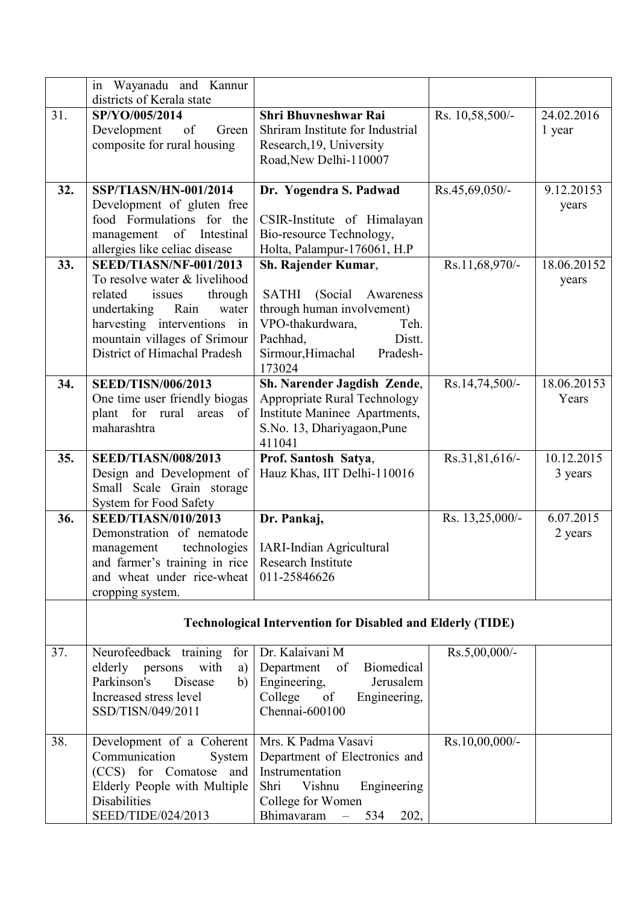|     | in<br>Wayanadu and Kannur<br>districts of Kerala state |                                                                   |                 |             |
|-----|--------------------------------------------------------|-------------------------------------------------------------------|-----------------|-------------|
| 31. | SP/YO/005/2014                                         | <b>Shri Bhuvneshwar Rai</b>                                       |                 | 24.02.2016  |
|     | of<br>Development<br>Green                             | Shriram Institute for Industrial                                  | Rs. 10,58,500/- | 1 year      |
|     | composite for rural housing                            | Research, 19, University                                          |                 |             |
|     |                                                        | Road, New Delhi-110007                                            |                 |             |
|     |                                                        |                                                                   |                 |             |
| 32. | SSP/TIASN/HN-001/2014                                  | Dr. Yogendra S. Padwad                                            | Rs.45,69,050/-  | 9.12.20153  |
|     | Development of gluten free                             |                                                                   |                 | years       |
|     | food Formulations for the                              | CSIR-Institute of Himalayan                                       |                 |             |
|     | management of Intestinal                               | Bio-resource Technology,                                          |                 |             |
|     | allergies like celiac disease                          | Holta, Palampur-176061, H.P                                       |                 |             |
| 33. | SEED/TIASN/NF-001/2013                                 | Sh. Rajender Kumar,                                               | Rs.11,68,970/-  | 18.06.20152 |
|     | To resolve water & livelihood                          |                                                                   |                 | years       |
|     | related<br>issues<br>through                           | <b>SATHI</b><br>(Social)<br>Awareness                             |                 |             |
|     | undertaking<br>Rain<br>water                           | through human involvement)                                        |                 |             |
|     | harvesting interventions<br>in                         | VPO-thakurdwara,<br>Teh.                                          |                 |             |
|     | mountain villages of Srimour                           | Pachhad,<br>Distt.                                                |                 |             |
|     | District of Himachal Pradesh                           | Sirmour, Himachal<br>Pradesh-                                     |                 |             |
| 34. | <b>SEED/TISN/006/2013</b>                              | 173024<br>Sh. Narender Jagdish Zende,                             | Rs.14,74,500/-  | 18.06.20153 |
|     | One time user friendly biogas                          | Appropriate Rural Technology                                      |                 | Years       |
|     | plant for rural<br>areas<br>of                         | Institute Maninee Apartments,                                     |                 |             |
|     | maharashtra                                            | S.No. 13, Dhariyagaon, Pune                                       |                 |             |
|     |                                                        | 411041                                                            |                 |             |
| 35. | <b>SEED/TIASN/008/2013</b>                             | Prof. Santosh Satya,                                              | Rs.31,81,616/-  | 10.12.2015  |
|     | Design and Development of                              | Hauz Khas, IIT Delhi-110016                                       |                 | 3 years     |
|     | Small Scale Grain storage                              |                                                                   |                 |             |
|     | System for Food Safety                                 |                                                                   |                 |             |
| 36. | <b>SEED/TIASN/010/2013</b>                             | Dr. Pankaj,                                                       | Rs. 13,25,000/- | 6.07.2015   |
|     | Demonstration of nematode                              |                                                                   |                 | 2 years     |
|     |                                                        |                                                                   |                 |             |
|     | technologies<br>management                             | <b>IARI-Indian Agricultural</b>                                   |                 |             |
|     | and farmer's training in rice                          | Research Institute                                                |                 |             |
|     | and wheat under rice-wheat                             | 011-25846626                                                      |                 |             |
|     | cropping system.                                       |                                                                   |                 |             |
|     |                                                        |                                                                   |                 |             |
|     |                                                        | <b>Technological Intervention for Disabled and Elderly (TIDE)</b> |                 |             |
| 37. | Neurofeedback training<br>for                          | Dr. Kalaivani M                                                   | Rs.5,00,000/-   |             |
|     | with<br>elderly persons<br>a)                          | Biomedical<br>Department<br>of                                    |                 |             |
|     | Parkinson's<br>Disease<br>b)                           | Engineering,<br>Jerusalem                                         |                 |             |
|     | Increased stress level                                 | College of<br>Engineering,                                        |                 |             |
|     | SSD/TISN/049/2011                                      | Chennai-600100                                                    |                 |             |
|     |                                                        |                                                                   |                 |             |
| 38. | Development of a Coherent<br>Communication<br>System   | Mrs. K Padma Vasavi                                               | Rs.10,00,000/-  |             |
|     | (CCS) for Comatose and                                 | Department of Electronics and<br>Instrumentation                  |                 |             |
|     | Elderly People with Multiple                           | Vishnu<br>Engineering<br>Shri                                     |                 |             |
|     | <b>Disabilities</b>                                    | College for Women                                                 |                 |             |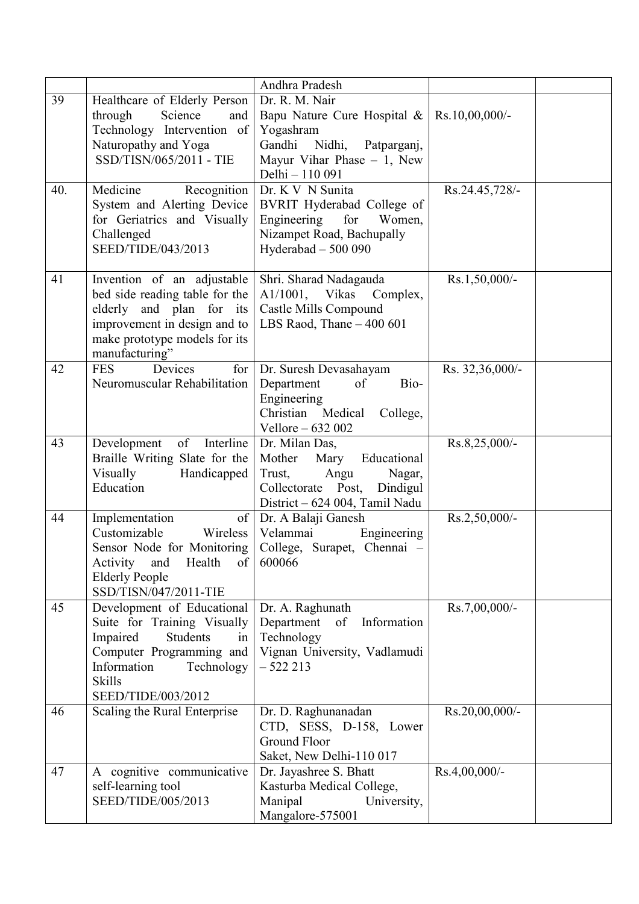|     |                                                                                                                                                                                                | Andhra Pradesh                                                                                                                                  |                  |
|-----|------------------------------------------------------------------------------------------------------------------------------------------------------------------------------------------------|-------------------------------------------------------------------------------------------------------------------------------------------------|------------------|
| 39  | Healthcare of Elderly Person<br>Science<br>through<br>and<br>Technology Intervention of<br>Naturopathy and Yoga<br>SSD/TISN/065/2011 - TIE                                                     | Dr. R. M. Nair<br>Bapu Nature Cure Hospital &<br>Yogashram<br>Gandhi Nidhi,<br>Patparganj,<br>Mayur Vihar Phase $-1$ , New<br>Delhi - 110 091   | Rs.10,00,000/-   |
| 40. | Medicine<br>Recognition<br>System and Alerting Device<br>for Geriatrics and Visually<br>Challenged<br>SEED/TIDE/043/2013                                                                       | Dr. K V N Sunita<br>BVRIT Hyderabad College of<br>Engineering<br>for<br>Women,<br>Nizampet Road, Bachupally<br>Hyderabad $-500090$              | Rs.24.45,728/-   |
| 41  | Invention of an adjustable<br>bed side reading table for the<br>elderly and plan for its<br>improvement in design and to<br>make prototype models for its<br>manufacturing"                    | Shri. Sharad Nadagauda<br>A1/1001, Vikas Complex,<br>Castle Mills Compound<br>LBS Raod, Thane $-400601$                                         | Rs.1,50,000/-    |
| 42  | <b>FES</b><br>Devices<br>for<br>Neuromuscular Rehabilitation                                                                                                                                   | Dr. Suresh Devasahayam<br>of<br>Bio-<br>Department<br>Engineering<br>Christian Medical<br>College,<br>Vellore - 632 002                         | Rs. 32,36,000/-  |
| 43  | Interline<br>of<br>Development<br>Braille Writing Slate for the<br>Visually<br>Handicapped<br>Education                                                                                        | Dr. Milan Das,<br>Mother<br>Mary<br>Educational<br>Trust,<br>Angu<br>Nagar,<br>Collectorate Post,<br>Dindigul<br>District – 624 004, Tamil Nadu | Rs.8,25,000/-    |
| 44  | of<br>Implementation<br>Customizable<br>Wireless<br>Sensor Node for Monitoring<br>Health<br>Activity<br>and<br>$of \sqrt{ }Elderly PeopleSSD/TISN/047/2011-TIE$                                | Dr. A Balaji Ganesh<br>Velammai<br>Engineering<br>College, Surapet, Chennai -<br>600066                                                         | Rs.2,50,000/-    |
| 45  | Development of Educational<br>Suite for Training Visually<br>Impaired<br><b>Students</b><br>in<br>Computer Programming and<br>Information<br>Technology<br><b>Skills</b><br>SEED/TIDE/003/2012 | Dr. A. Raghunath<br>Department<br>of Information<br>Technology<br>Vignan University, Vadlamudi<br>$-522213$                                     | Rs.7,00,000/-    |
| 46  | Scaling the Rural Enterprise                                                                                                                                                                   | Dr. D. Raghunanadan<br>CTD, SESS, D-158, Lower<br><b>Ground Floor</b><br>Saket, New Delhi-110 017                                               | Rs.20,00,000/-   |
| 47  | A cognitive communicative<br>self-learning tool<br>SEED/TIDE/005/2013                                                                                                                          | Dr. Jayashree S. Bhatt<br>Kasturba Medical College,<br>Manipal<br>University,<br>Mangalore-575001                                               | $Rs.4,00,000/$ - |